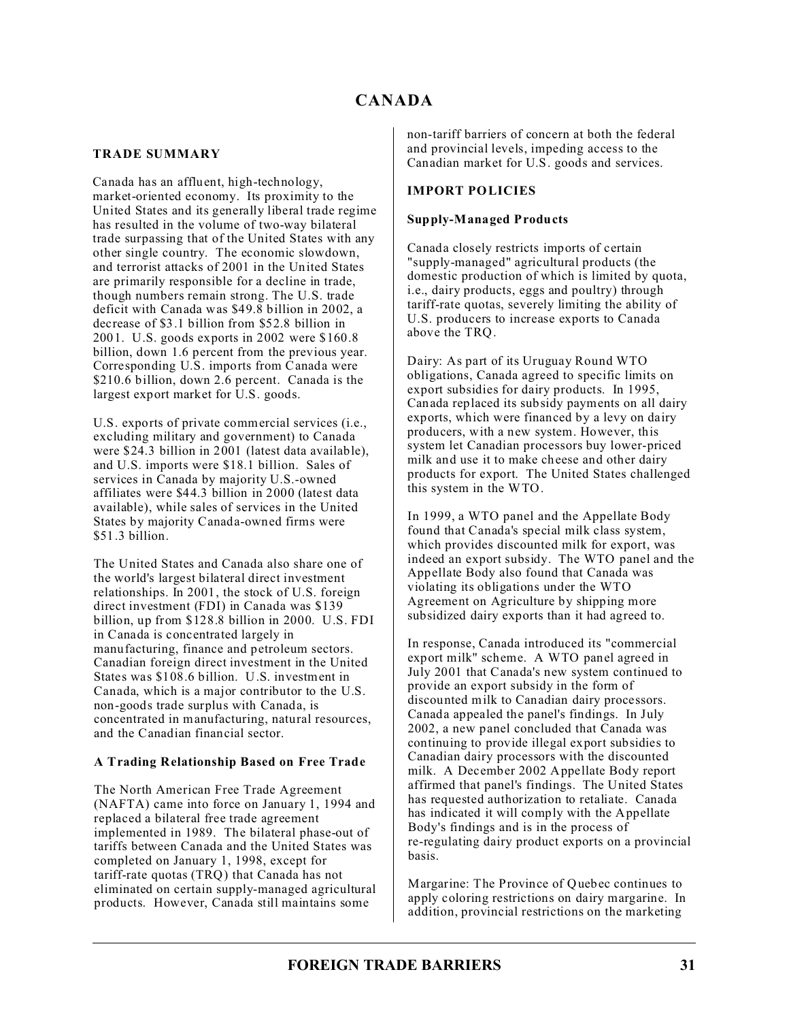## **TRADE SUMMARY**

Canada has an affluent, high-technology, market-oriented economy. Its proximity to the United States and its generally liberal trade regime has resulted in the volume of two-way bilateral trade surpassing that of the United States with any other single country. The economic slowdown, and terrorist attacks of 2001 in the United States are primarily responsible for a decline in trade, though numbers remain strong. The U.S. trade deficit with Canada was \$49.8 billion in 2002, a decrease of \$3.1 billion from \$52.8 billion in 2001. U.S. goods exports in 2002 were \$160.8 billion, down 1.6 percent from the previous year. Corresponding U.S. imports from Canada were \$210.6 billion, down 2.6 percent. Canada is the largest export market for U.S. goods.

U.S. exports of private commercial services (i.e., excluding military and government) to Canada were \$24.3 billion in 2001 (latest data available), and U.S. imports were \$18.1 billion. Sales of services in Canada by majority U.S.-owned affiliates were \$44.3 billion in 2000 (latest data available), while sales of services in the United States by majority Canada-owned firms were  $$51.3 billion$ 

The United States and Canada also share one of the world's largest bilateral direct investment relationships. In 2001, the stock of U.S. foreign direct investment (FDI) in Canada was \$139 billion, up from \$128.8 billion in 2000. U.S. FDI in Canada is concentrated largely in manufacturing, finance and petroleum sectors. Canadian foreign direct investment in the United States was \$108.6 billion. U.S. investment in Canada, which is a major contributor to the U.S. non-goods trade surplus with Canada, is concentrated in manufacturing, natural resources, and the Canadian financial sector.

## **A Trading Relationship Based on Free Trade**

The North American Free Trade Agreement (NAFTA) came into force on January 1, 1994 and replaced a bilateral free trade agreement implemented in 1989. The bilateral phase-out of tariffs between Canada and the United States was completed on January 1, 1998, except for tariff-rate quotas (TRQ) that Canada has not eliminated on certain supply-managed agricultural products. However, Canada still maintains some

non-tariff barriers of concern at both the federal and provincial levels, impeding access to the Canadian market for U.S. goods and services.

## **IMPORT POLICIES**

## **Supply-Managed Products**

Canada closely restricts imports of certain "supply-managed" agricultural products (the domestic production of which is limited by quota, i.e., dairy products, eggs and poultry) through tariff-rate quotas, severely limiting the ability of U.S. producers to increase exports to Canada above the TRQ.

Dairy: As part of its Uruguay Round WTO obligations, Canada agreed to specific limits on export subsidies for dairy products. In 1995, Canada replaced its subsidy payments on all dairy exports, which were financed by a levy on dairy producers, with a new system. However, this system let Canadian processors buy lower-priced milk and use it to make cheese and other dairy products for export. The United States challenged this system in the WTO.

In 1999, a WTO panel and the Appellate Body found that Canada's special milk class system, which provides discounted milk for export, was indeed an export subsidy. The WTO panel and the Appellate Body also found that Canada was violating its obligations under the WTO Agreement on Agriculture by shipping more subsidized dairy exports than it had agreed to.

In response, Canada introduced its "commercial export milk" scheme. A WTO panel agreed in July 2001 that Canada's new system continued to provide an export subsidy in the form of discounted milk to Canadian dairy processors. Canada appealed the panel's findings. In July 2002, a new panel concluded that Canada was continuing to provide illegal export subsidies to Canadian dairy processors with the discounted milk. A December 2002 Appellate Body report affirmed that panel's findings. The United States has requested authorization to retaliate. Canada has indicated it will comply with the Appellate Body's findings and is in the process of re-regulating dairy product exports on a provincial basis.

Margarine: The Province of Quebec continues to apply coloring restrictions on dairy margarine. In addition, provincial restrictions on the marketing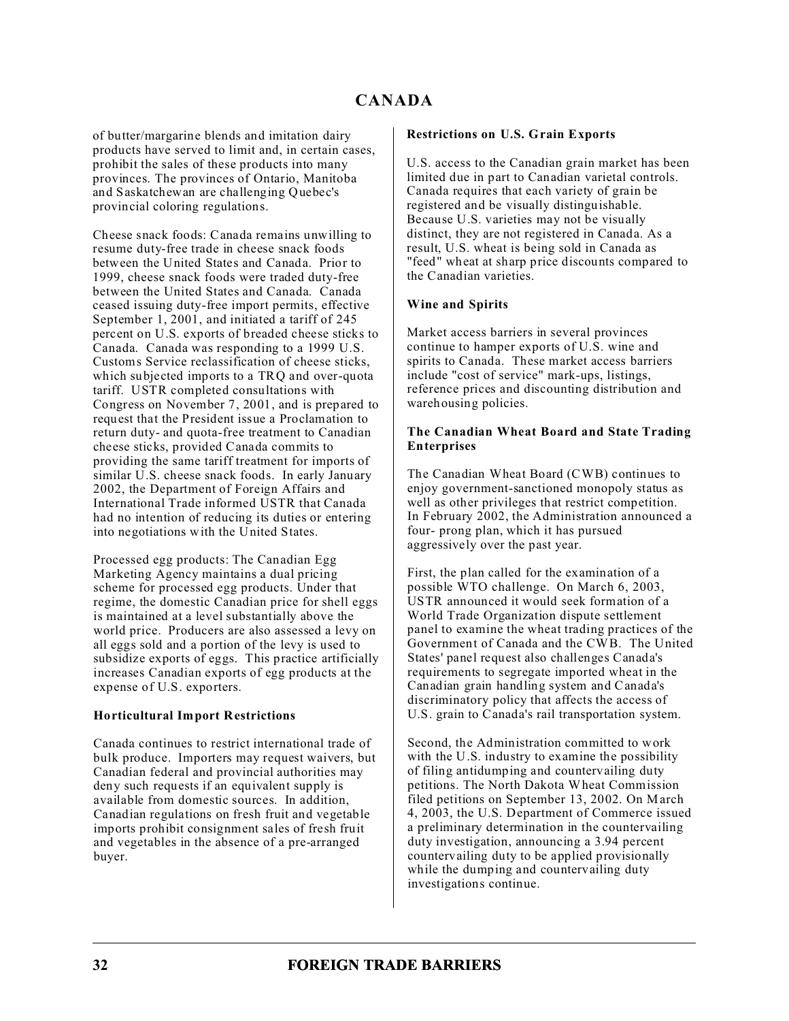of butter/margarine blends and imitation dairy products have served to limit and, in certain cases, prohibit the sales of these products into many provinces. The provinces of Ontario, Manitoba and Saskatchewan are challenging Quebec's provincial coloring regulations.

Cheese snack foods: Canada remains unwilling to resume duty-free trade in cheese snack foods between the United States and Canada. Prior to 1999, cheese snack foods were traded duty-free between the United States and Canada. Canada ceased issuing duty-free import permits, effective September 1, 2001, and initiated a tariff of 245 percent on U.S. exports of breaded cheese sticks to Canada. Canada was responding to a 1999 U.S. Customs Service reclassification of cheese sticks, which subjected imports to a TRQ and over-quota tariff. USTR completed consultations with Congress on November 7, 2001, and is prepared to request that the President issue a Proclamation to return duty- and quota-free treatment to Canadian cheese sticks, provided Canada commits to providing the same tariff treatment for imports of similar U.S. cheese snack foods. In early January 2002, the Department of Foreign Affairs and International Trade informed USTR that Canada had no intention of reducing its duties or entering into negotiations with the United States.

Processed egg products: The Canadian Egg Marketing Agency maintains a dual pricing scheme for processed egg products. Under that regime, the domestic Canadian price for shell eggs is maintained at a level substantially above the world price. Producers are also assessed a levy on all eggs sold and a portion of the levy is used to subsidize exports of eggs. This practice artificially increases Canadian exports of egg products at the expense of U.S. exporters.

## **Horticultural Import Restrictions**

Canada continues to restrict international trade of bulk produce. Importers may request waivers, but Canadian federal and provincial authorities may deny such requests if an equivalent supply is available from domestic sources. In addition, Canadian regulations on fresh fruit and vegetable imports prohibit consignment sales of fresh fruit and vegetables in the absence of a pre-arranged buyer.

#### **Restrictions on U.S. Grain Exports**

U.S. access to the Canadian grain market has been limited due in part to Canadian varietal controls. Canada requires that each variety of grain be registered and be visually distinguishable. Because U.S. varieties may not be visually distinct, they are not registered in Canada. As a result, U.S. wheat is being sold in Canada as "feed" wheat at sharp price discounts compared to the Canadian varieties.

### **Wine and Spirits**

Market access barriers in several provinces continue to hamper exports of U.S. wine and spirits to Canada. These market access barriers include "cost of service" mark-ups, listings, reference prices and discounting distribution and warehousing policies.

#### **The Canadian Wheat Board and State Trading Enterprises**

The Canadian Wheat Board (CWB) continues to enjoy government-sanctioned monopoly status as well as other privileges that restrict competition. In February 2002, the Administration announced a four- prong plan, which it has pursued aggressively over the past year.

First, the plan called for the examination of a possible WTO challenge. On March 6, 2003, USTR announced it would seek formation of a World Trade Organization dispute settlement panel to examine the wheat trading practices of the Government of Canada and the CWB. The United States' panel request also challenges Canada's requirements to segregate imported wheat in the Canadian grain handling system and Canada's discriminatory policy that affects the access of U.S. grain to Canada's rail transportation system.

Second, the Administration committed to work with the U.S. industry to examine the possibility of filing antidumping and countervailing duty petitions. The North Dakota Wheat Commission filed petitions on September 13, 2002. On March 4, 2003, the U.S. Department of Commerce issued a preliminary determination in the countervailing duty investigation, announcing a 3.94 percent countervailing duty to be applied provisionally while the dumping and countervailing duty investigations continue.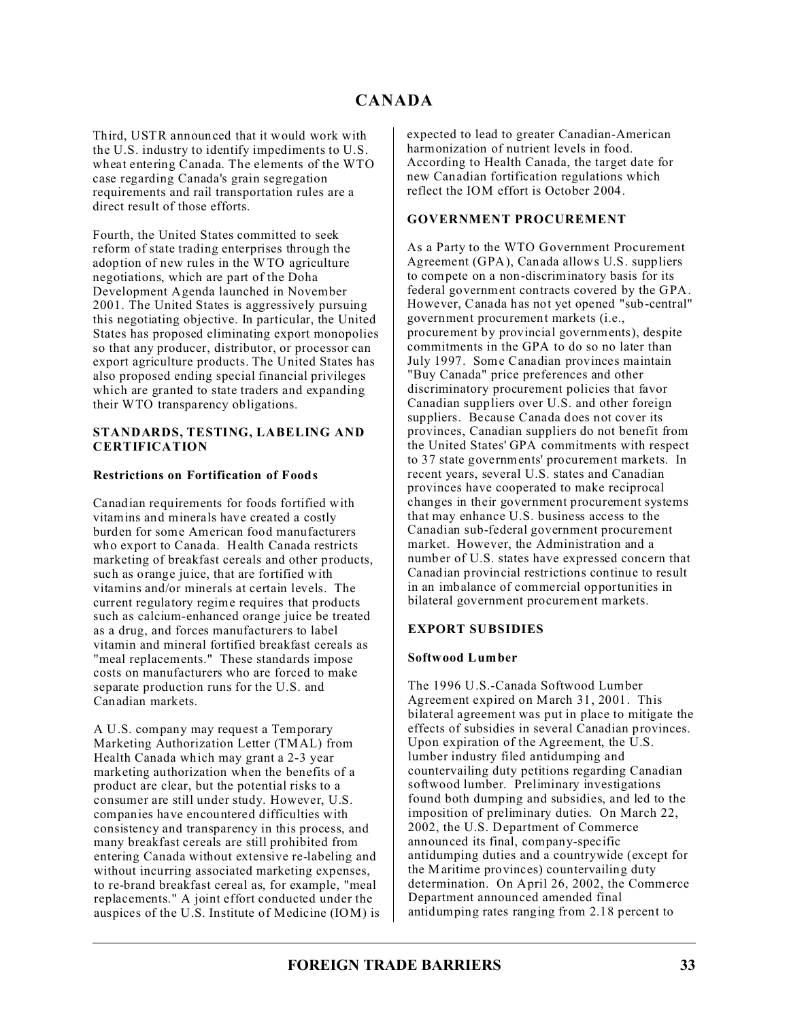Third, USTR announced that it would work with the U.S. industry to identify impediments to U.S. wheat entering Canada. The elements of the WTO case regarding Canada's grain segregation requirements and rail transportation rules are a direct result of those efforts.

Fourth, the United States committed to seek reform of state trading enterprises through the adoption of new rules in the WTO agriculture negotiations, which are part of the Doha Development Agenda launched in November 2001. The United States is aggressively pursuing this negotiating objective. In particular, the United States has proposed eliminating export monopolies so that any producer, distributor, or processor can export agriculture products. The United States has also proposed ending special financial privileges which are granted to state traders and expanding their WTO transparency obligations.

#### **STANDARDS, TESTING, LABELING AND CERTIFICATION**

## **Restrictions on Fortification of Foods**

Canadian requirements for foods fortified with vitamins and minerals have created a costly burden for some American food manufacturers who export to Canada. Health Canada restricts marketing of breakfast cereals and other products, such as orange juice, that are fortified with vitamins and/or minerals at certain levels. The current regulatory regime requires that products such as calcium-enhanced orange juice be treated as a drug, and forces manufacturers to label vitamin and mineral fortified breakfast cereals as "meal replacements." These standards impose costs on manufacturers who are forced to make separate production runs for the U.S. and Canadian markets.

A U.S. company may request a Temporary Marketing Authorization Letter (TMAL) from Health Canada which may grant a 2-3 year marketing authorization when the benefits of a product are clear, but the potential risks to a consumer are still under study. However, U.S. companies have encountered difficulties with consistency and transparency in this process, and many breakfast cereals are still prohibited from entering Canada without extensive re-labeling and without incurring associated marketing expenses, to re-brand breakfast cereal as, for example, "meal replacements." A joint effort conducted under the auspices of the U.S. Institute of Medicine (IOM) is expected to lead to greater Canadian-American harmonization of nutrient levels in food. According to Health Canada, the target date for new Canadian fortification regulations which reflect the IOM effort is October 2004.

### **GOVERNMENT PROCUREMENT**

As a Party to the WTO Government Procurement Agreement (GPA), Canada allows U.S. suppliers to compete on a non-discriminatory basis for its federal government contracts covered by the GPA. However, Canada has not yet opened "sub-central" government procurement markets (i.e., procurement by provincial governments), despite commitments in the GPA to do so no later than July 1997. Some Canadian provinces maintain "Buy Canada" price preferences and other discriminatory procurement policies that favor Canadian suppliers over U.S. and other foreign suppliers. Because Canada does not cover its provinces, Canadian suppliers do not benefit from the United States' GPA commitments with respect to 37 state governments' procurement markets. In recent years, several U.S. states and Canadian provinces have cooperated to make reciprocal changes in their government procurement systems that may enhance U.S. business access to the Canadian sub-federal government procurement market. However, the Administration and a number of U.S. states have expressed concern that Canadian provincial restrictions continue to result in an imbalance of commercial opportunities in bilateral government procurement markets.

## **EXPORT SUBSIDIES**

#### **Softwood Lumber**

The 1996 U.S.-Canada Softwood Lumber Agreement expired on March 31, 2001. This bilateral agreement was put in place to mitigate the effects of subsidies in several Canadian provinces. Upon expiration of the Agreement, the U.S. lumber industry filed antidumping and countervailing duty petitions regarding Canadian softwood lumber. Preliminary investigations found both dumping and subsidies, and led to the imposition of preliminary duties. On March 22, 2002, the U.S. Department of Commerce announced its final, company-specific antidumping duties and a countrywide (except for the Maritime provinces) countervailing duty determination. On April 26, 2002, the Commerce Department announced amended final antidumping rates ranging from 2.18 percent to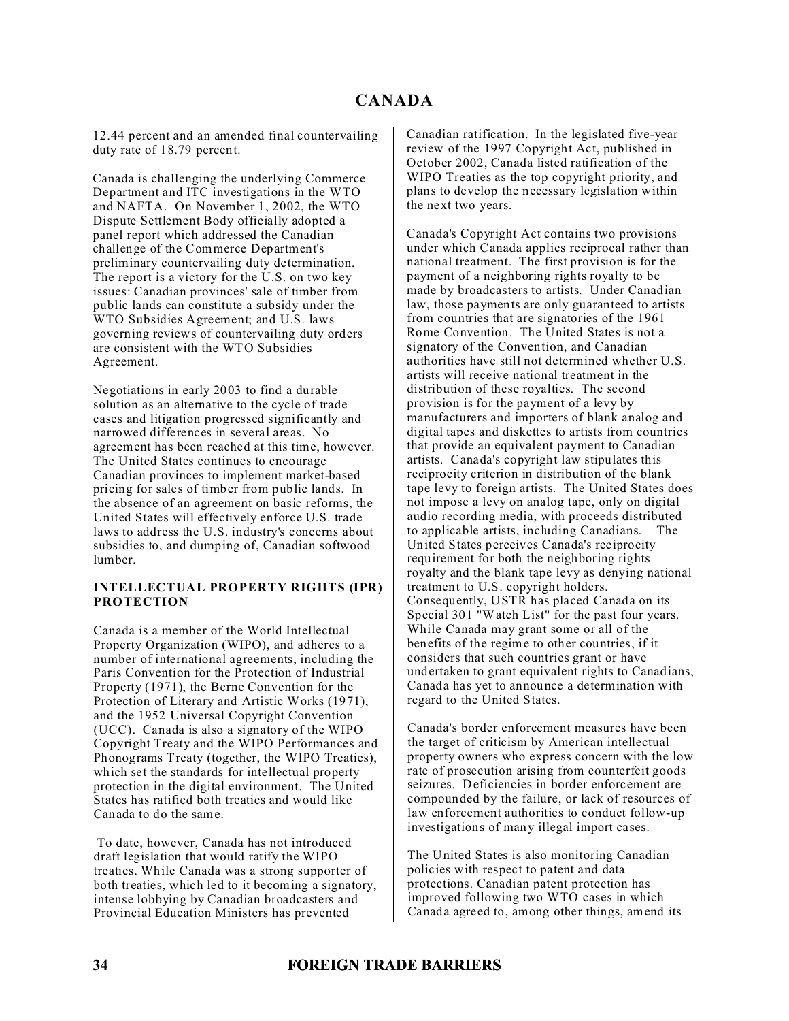12.44 percent and an amended final countervailing duty rate of 18.79 percent.

Canada is challenging the underlying Commerce Department and ITC investigations in the WTO and NAFTA. On November 1, 2002, the WTO Dispute Settlement Body officially adopted a panel report which addressed the Canadian challenge of the Commerce Department's preliminary countervailing duty determination. The report is a victory for the U.S. on two key issues: Canadian provinces' sale of timber from public lands can constitute a subsidy under the WTO Subsidies Agreement; and U.S. laws governing reviews of countervailing duty orders are consistent with the WTO Subsidies Agreement.

Negotiations in early 2003 to find a durable solution as an alternative to the cycle of trade cases and litigation progressed significantly and narrowed differences in several areas. No agreement has been reached at this time, however. The United States continues to encourage Canadian provinces to implement market-based pricing for sales of timber from public lands. In the absence of an agreement on basic reforms, the United States will effectively enforce U.S. trade laws to address the U.S. industry's concerns about subsidies to, and dumping of, Canadian softwood lumber.

### **INTELLECTUAL PROPERTY RIGHTS (IPR) PROTECTION**

Canada is a member of the World Intellectual Property Organization (WIPO), and adheres to a number of international agreements, including the Paris Convention for the Protection of Industrial Property (1971), the Berne Convention for the Protection of Literary and Artistic Works (1971), and the 1952 Universal Copyright Convention (UCC). Canada is also a signatory of the WIPO Copyright Treaty and the WIPO Performances and Phonograms Treaty (together, the WIPO Treaties), which set the standards for intellectual property protection in the digital environment. The United States has ratified both treaties and would like Canada to do the same.

 To date, however, Canada has not introduced draft legislation that would ratify the WIPO treaties. While Canada was a strong supporter of both treaties, which led to it becoming a signatory, intense lobbying by Canadian broadcasters and Provincial Education Ministers has prevented

Canadian ratification. In the legislated five-year review of the 1997 Copyright Act, published in October 2002, Canada listed ratification of the WIPO Treaties as the top copyright priority, and plans to develop the necessary legislation within the next two years.

Canada's Copyright Act contains two provisions under which Canada applies reciprocal rather than national treatment. The first provision is for the payment of a neighboring rights royalty to be made by broadcasters to artists. Under Canadian law, those payments are only guaranteed to artists from countries that are signatories of the 1961 Rome Convention. The United States is not a signatory of the Convention, and Canadian authorities have still not determined whether U.S. artists will receive national treatment in the distribution of these royalties. The second provision is for the payment of a levy by manufacturers and importers of blank analog and digital tapes and diskettes to artists from countries that provide an equivalent payment to Canadian artists. Canada's copyright law stipulates this reciprocity criterion in distribution of the blank tape levy to foreign artists. The United States does not impose a levy on analog tape, only on digital audio recording media, with proceeds distributed to applicable artists, including Canadians. The United States perceives Canada's reciprocity requirement for both the neighboring rights royalty and the blank tape levy as denying national treatment to U.S. copyright holders. Consequently, USTR has placed Canada on its Special 301 "Watch List" for the past four years. While Canada may grant some or all of the benefits of the regime to other countries, if it considers that such countries grant or have undertaken to grant equivalent rights to Canadians, Canada has yet to announce a determination with regard to the United States.

Canada's border enforcement measures have been the target of criticism by American intellectual property owners who express concern with the low rate of prosecution arising from counterfeit goods seizures. Deficiencies in border enforcement are compounded by the failure, or lack of resources of law enforcement authorities to conduct follow-up investigations of many illegal import cases.

The United States is also monitoring Canadian policies with respect to patent and data protections. Canadian patent protection has improved following two WTO cases in which Canada agreed to, among other things, amend its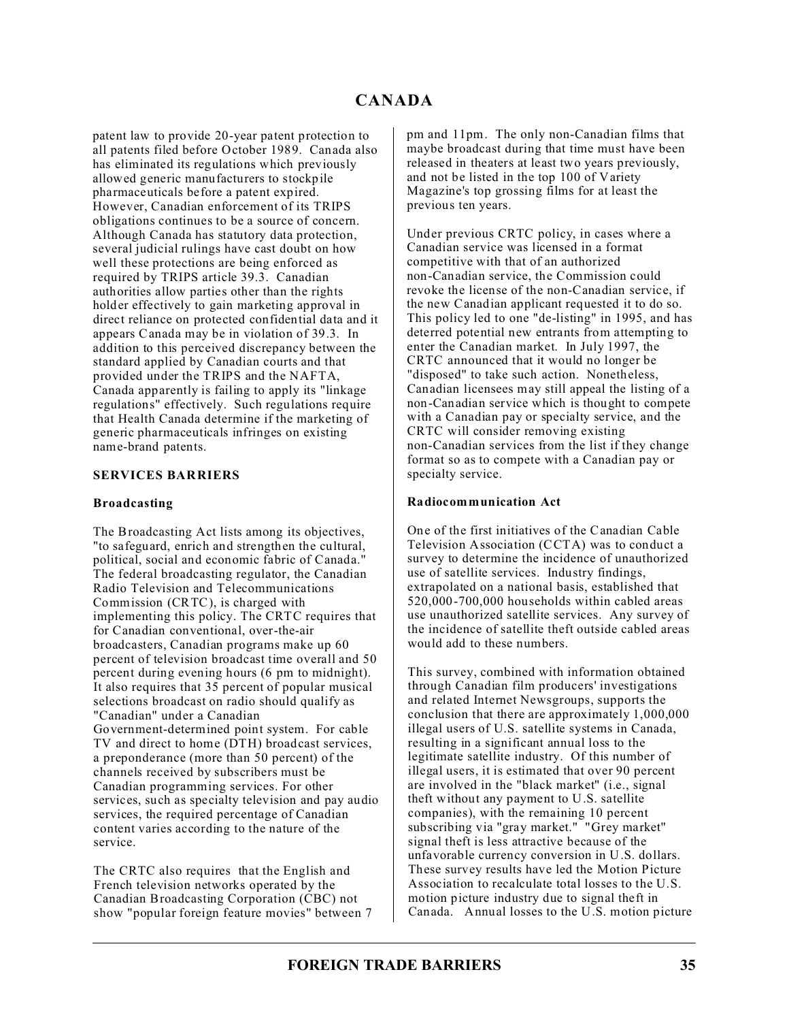patent law to provide 20-year patent protection to all patents filed before October 1989. Canada also has eliminated its regulations which previously allowed generic manufacturers to stockpile pharmaceuticals before a patent expired. However, Canadian enforcement of its TRIPS obligations continues to be a source of concern. Although Canada has statutory data protection, several judicial rulings have cast doubt on how well these protections are being enforced as required by TRIPS article 39.3. Canadian authorities allow parties other than the rights holder effectively to gain marketing approval in direct reliance on protected confidential data and it appears Canada may be in violation of 39.3. In addition to this perceived discrepancy between the standard applied by Canadian courts and that provided under the TRIPS and the NAFTA, Canada apparently is failing to apply its "linkage regulations" effectively. Such regulations require that Health Canada determine if the marketing of generic pharmaceuticals infringes on existing name-brand patents.

### **SERVICES BARRIERS**

#### **Broadcasting**

The Broadcasting Act lists among its objectives, "to safeguard, enrich and strengthen the cultural, political, social and economic fabric of Canada." The federal broadcasting regulator, the Canadian Radio Television and Telecommunications Commission (CRTC), is charged with implementing this policy. The CRTC requires that for Canadian conventional, over-the-air broadcasters, Canadian programs make up 60 percent of television broadcast time overall and 50 percent during evening hours (6 pm to midnight). It also requires that 35 percent of popular musical selections broadcast on radio should qualify as "Canadian" under a Canadian Government-determined point system. For cable TV and direct to home (DTH) broadcast services, a preponderance (more than 50 percent) of the channels received by subscribers must be Canadian programming services. For other services, such as specialty television and pay audio services, the required percentage of Canadian content varies according to the nature of the service.

The CRTC also requires that the English and French television networks operated by the Canadian Broadcasting Corporation (CBC) not show "popular foreign feature movies" between 7 pm and 11pm. The only non-Canadian films that maybe broadcast during that time must have been released in theaters at least two years previously, and not be listed in the top 100 of Variety Magazine's top grossing films for at least the previous ten years.

Under previous CRTC policy, in cases where a Canadian service was licensed in a format competitive with that of an authorized non-Canadian service, the Commission could revoke the license of the non-Canadian service, if the new Canadian applicant requested it to do so. This policy led to one "de-listing" in 1995, and has deterred potential new entrants from attempting to enter the Canadian market. In July 1997, the CRTC announced that it would no longer be "disposed" to take such action. Nonetheless, Canadian licensees may still appeal the listing of a non-Canadian service which is thought to compete with a Canadian pay or specialty service, and the CRTC will consider removing existing non-Canadian services from the list if they change format so as to compete with a Canadian pay or specialty service.

### **Radiocommunication Act**

One of the first initiatives of the Canadian Cable Television Association (CCTA) was to conduct a survey to determine the incidence of unauthorized use of satellite services. Industry findings, extrapolated on a national basis, established that 520,000-700,000 households within cabled areas use unauthorized satellite services. Any survey of the incidence of satellite theft outside cabled areas would add to these numbers.

This survey, combined with information obtained through Canadian film producers' investigations and related Internet Newsgroups, supports the conclusion that there are approximately 1,000,000 illegal users of U.S. satellite systems in Canada, resulting in a significant annual loss to the legitimate satellite industry. Of this number of illegal users, it is estimated that over 90 percent are involved in the "black market" (i.e., signal theft without any payment to U.S. satellite companies), with the remaining 10 percent subscribing via "gray market." "Grey market" signal theft is less attractive because of the unfavorable currency conversion in U.S. dollars. These survey results have led the Motion Picture Association to recalculate total losses to the U.S. motion picture industry due to signal theft in Canada. Annual losses to the U.S. motion picture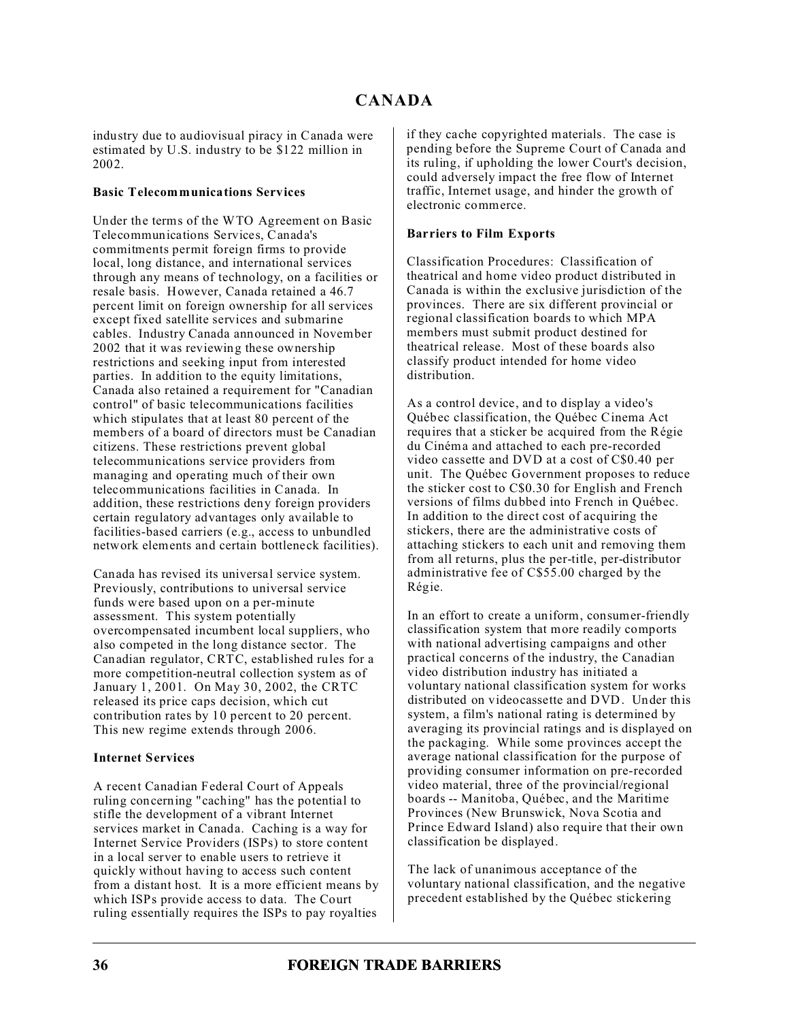industry due to audiovisual piracy in Canada were estimated by U.S. industry to be \$122 million in 2002.

### **Basic Telecommunications Services**

Under the terms of the WTO Agreement on Basic Telecommunications Services, Canada's commitments permit foreign firms to provide local, long distance, and international services through any means of technology, on a facilities or resale basis. However, Canada retained a 46.7 percent limit on foreign ownership for all services except fixed satellite services and submarine cables. Industry Canada announced in November 2002 that it was reviewing these ownership restrictions and seeking input from interested parties. In addition to the equity limitations, Canada also retained a requirement for "Canadian control" of basic telecommunications facilities which stipulates that at least 80 percent of the members of a board of directors must be Canadian citizens. These restrictions prevent global telecommunications service providers from managing and operating much of their own telecommunications facilities in Canada. In addition, these restrictions deny foreign providers certain regulatory advantages only available to facilities-based carriers (e.g., access to unbundled network elements and certain bottleneck facilities).

Canada has revised its universal service system. Previously, contributions to universal service funds were based upon on a per-minute assessment. This system potentially overcompensated incumbent local suppliers, who also competed in the long distance sector. The Canadian regulator, CRTC, established rules for a more competition-neutral collection system as of January 1, 2001. On May 30, 2002, the CRTC released its price caps decision, which cut contribution rates by 10 percent to 20 percent. This new regime extends through 2006.

## **Internet Services**

A recent Canadian Federal Court of Appeals ruling concerning "caching" has the potential to stifle the development of a vibrant Internet services market in Canada. Caching is a way for Internet Service Providers (ISPs) to store content in a local server to enable users to retrieve it quickly without having to access such content from a distant host. It is a more efficient means by which ISPs provide access to data. The Court ruling essentially requires the ISPs to pay royalties

if they cache copyrighted materials. The case is pending before the Supreme Court of Canada and its ruling, if upholding the lower Court's decision, could adversely impact the free flow of Internet traffic, Internet usage, and hinder the growth of electronic commerce.

### **Barriers to Film Exports**

Classification Procedures: Classification of theatrical and home video product distributed in Canada is within the exclusive jurisdiction of the provinces. There are six different provincial or regional classification boards to which MPA members must submit product destined for theatrical release. Most of these boards also classify product intended for home video distribution.

As a control device, and to display a video's Québec classification, the Québec Cinema Act requires that a sticker be acquired from the Régie du Cinéma and attached to each pre-recorded video cassette and DVD at a cost of C\$0.40 per unit. The Québec Government proposes to reduce the sticker cost to C\$0.30 for English and French versions of films dubbed into French in Québec. In addition to the direct cost of acquiring the stickers, there are the administrative costs of attaching stickers to each unit and removing them from all returns, plus the per-title, per-distributor administrative fee of C\$55.00 charged by the Régie.

In an effort to create a uniform, consumer-friendly classification system that more readily comports with national advertising campaigns and other practical concerns of the industry, the Canadian video distribution industry has initiated a voluntary national classification system for works distributed on videocassette and DVD. Under this system, a film's national rating is determined by averaging its provincial ratings and is displayed on the packaging. While some provinces accept the average national classification for the purpose of providing consumer information on pre-recorded video material, three of the provincial/regional boards -- Manitoba, Québec, and the Maritime Provinces (New Brunswick, Nova Scotia and Prince Edward Island) also require that their own classification be displayed.

The lack of unanimous acceptance of the voluntary national classification, and the negative precedent established by the Québec stickering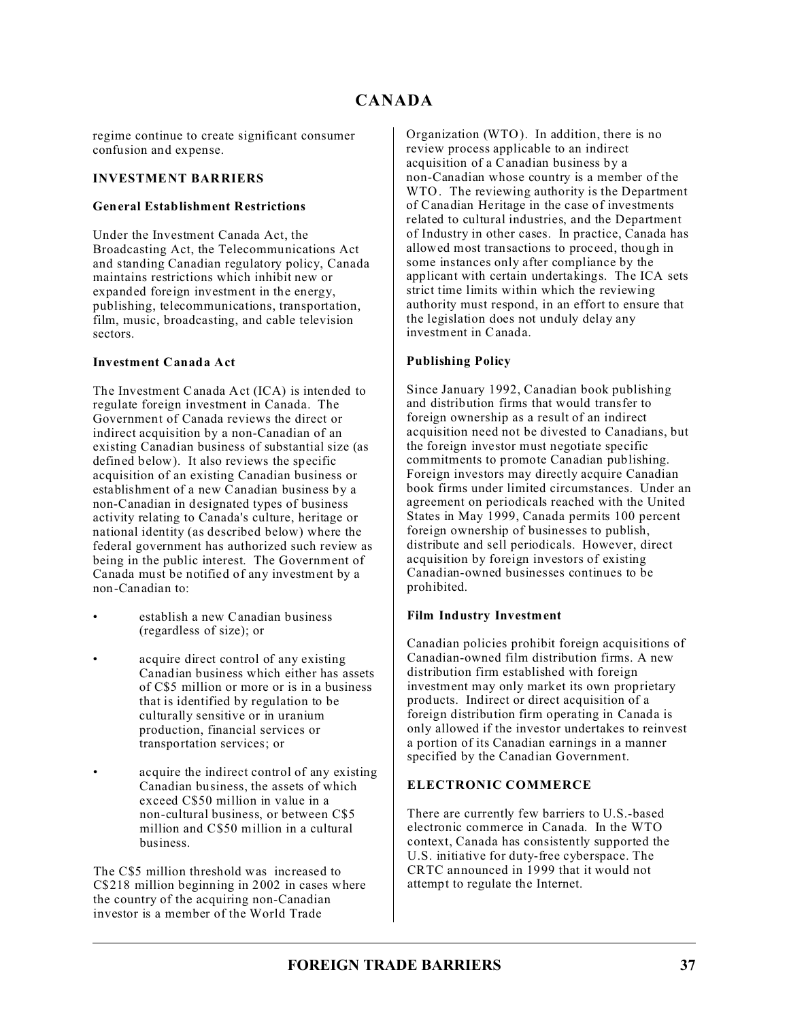regime continue to create significant consumer confusion and expense.

## **INVESTMENT BARRIERS**

## **General Establishment Restrictions**

Under the Investment Canada Act, the Broadcasting Act, the Telecommunications Act and standing Canadian regulatory policy, Canada maintains restrictions which inhibit new or expanded foreign investment in the energy, publishing, telecommunications, transportation, film, music, broadcasting, and cable television sectors.

### **Investment Canada Act**

The Investment Canada Act (ICA) is intended to regulate foreign investment in Canada. The Government of Canada reviews the direct or indirect acquisition by a non-Canadian of an existing Canadian business of substantial size (as defined below). It also reviews the specific acquisition of an existing Canadian business or establishment of a new Canadian business by a non-Canadian in designated types of business activity relating to Canada's culture, heritage or national identity (as described below) where the federal government has authorized such review as being in the public interest. The Government of Canada must be notified of any investment by a non-Canadian to:

- establish a new Canadian business (regardless of size); or
- acquire direct control of any existing Canadian business which either has assets of C\$5 million or more or is in a business that is identified by regulation to be culturally sensitive or in uranium production, financial services or transportation services; or
- acquire the indirect control of any existing Canadian business, the assets of which exceed C\$50 million in value in a non-cultural business, or between C\$5 million and C\$50 million in a cultural business.

The C\$5 million threshold was increased to C\$218 million beginning in 2002 in cases where the country of the acquiring non-Canadian investor is a member of the World Trade

Organization (WTO). In addition, there is no review process applicable to an indirect acquisition of a Canadian business by a non-Canadian whose country is a member of the WTO. The reviewing authority is the Department of Canadian Heritage in the case of investments related to cultural industries, and the Department of Industry in other cases. In practice, Canada has allowed most transactions to proceed, though in some instances only after compliance by the applicant with certain undertakings. The ICA sets strict time limits within which the reviewing authority must respond, in an effort to ensure that the legislation does not unduly delay any investment in Canada.

## **Publishing Policy**

Since January 1992, Canadian book publishing and distribution firms that would transfer to foreign ownership as a result of an indirect acquisition need not be divested to Canadians, but the foreign investor must negotiate specific commitments to promote Canadian publishing. Foreign investors may directly acquire Canadian book firms under limited circumstances. Under an agreement on periodicals reached with the United States in May 1999, Canada permits 100 percent foreign ownership of businesses to publish, distribute and sell periodicals. However, direct acquisition by foreign investors of existing Canadian-owned businesses continues to be prohibited.

## **Film Industry Investment**

Canadian policies prohibit foreign acquisitions of Canadian-owned film distribution firms. A new distribution firm established with foreign investment may only market its own proprietary products. Indirect or direct acquisition of a foreign distribution firm operating in Canada is only allowed if the investor undertakes to reinvest a portion of its Canadian earnings in a manner specified by the Canadian Government.

## **ELECTRONIC COMMERCE**

There are currently few barriers to U.S.-based electronic commerce in Canada. In the WTO context, Canada has consistently supported the U.S. initiative for duty-free cyberspace. The CRTC announced in 1999 that it would not attempt to regulate the Internet.